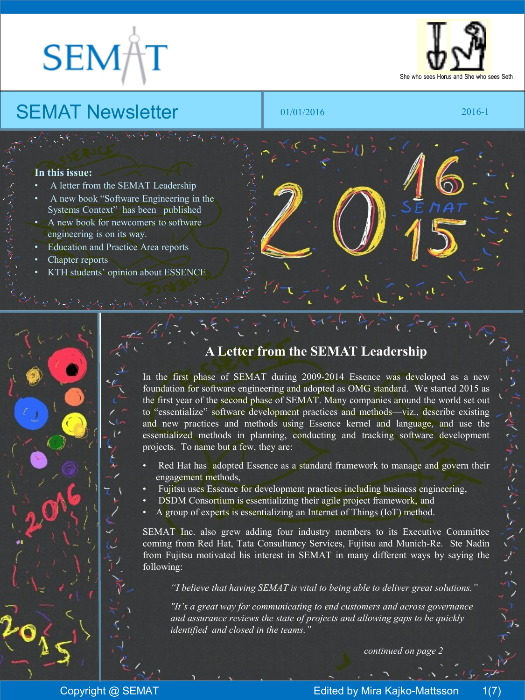# **SEMA**



## SEMAT Newsletter **1 01/01/2016**

2016-1

#### **In this issue:**

- A letter from the SEMAT Leadership
- A new book "Software Engineering in the Systems Context" has been published
- A new book for newcomers to software engineering is on its way.
- Education and Practice Area reports
- Chapter reports
- KTH students' opinion about ESSENCE

#### **A Letter from the SEMAT Leadership**

In the first phase of SEMAT during 2009-2014 Essence was developed as a new foundation for software engineering and adopted as OMG standard. We started 2015 as the first year of the second phase of SEMAT. Many companies around the world set out to "essentialize" software development practices and methods—viz., describe existing and new practices and methods using Essence kernel and language, and use the essentialized methods in planning, conducting and tracking software development projects. To name but a few, they are:

- Red Hat has adopted Essence as a standard framework to manage and govern their engagement methods,
- Fujitsu uses Essence for development practices including business engineering,
- DSDM Consortium is essentializing their agile project framework, and
- A group of experts is essentializing an Internet of Things (IoT) method.

SEMAT Inc. also grew adding four industry members to its Executive Committee coming from Red Hat, Tata Consultancy Services, Fujitsu and Munich-Re. Ste Nadin from Fujitsu motivated his interest in SEMAT in many different ways by saying the following:

*"I believe that having SEMAT is vital to being able to deliver great solutions."*

*"It's a great way for communicating to end customers and across governance and assurance reviews the state of projects and allowing gaps to be quickly identified and closed in the teams."*

*continued on page 2*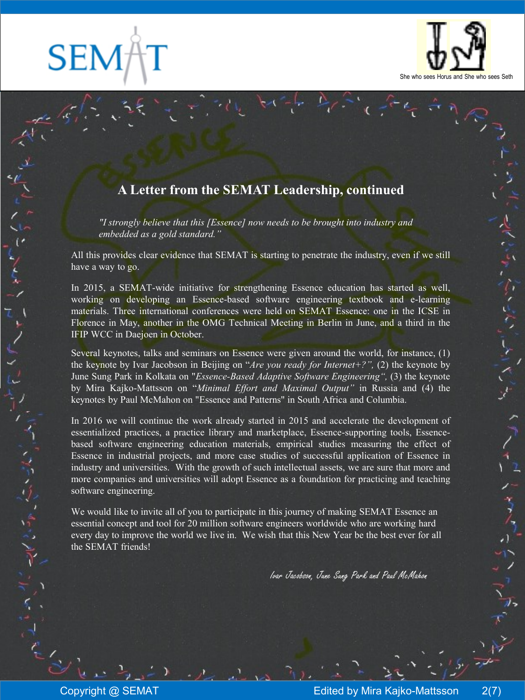**SEM** 

いじん

一个时代。



ぎがんさんどくど

### **A Letter from the SEMAT Leadership, continued**

*"I strongly believe that this [Essence] now needs to be brought into industry and embedded as a gold standard."*

All this provides clear evidence that SEMAT is starting to penetrate the industry, even if we still have a way to go.

In 2015, a SEMAT-wide initiative for strengthening Essence education has started as well, working on developing an Essence-based software engineering textbook and e-learning materials. Three international conferences were held on SEMAT Essence: one in the ICSE in Florence in May, another in the OMG Technical Meeting in Berlin in June, and a third in the IFIP WCC in Daejoen in October.

Several keynotes, talks and seminars on Essence were given around the world, for instance, (1) the keynote by Ivar Jacobson in Beijing on "*Are you ready for Internet+?",* (2) the keynote by June Sung Park in Kolkata on "*Essence-Based Adaptive Software Engineering",* (3) the keynote by Mira Kajko-Mattsson on "*Minimal Effort and Maximal Output"* in Russia and (4) the keynotes by Paul McMahon on "Essence and Patterns" in South Africa and Columbia.

In 2016 we will continue the work already started in 2015 and accelerate the development of essentialized practices, a practice library and marketplace, Essence-supporting tools, Essencebased software engineering education materials, empirical studies measuring the effect of Essence in industrial projects, and more case studies of successful application of Essence in industry and universities. With the growth of such intellectual assets, we are sure that more and more companies and universities will adopt Essence as a foundation for practicing and teaching software engineering.

We would like to invite all of you to participate in this journey of making SEMAT Essence an essential concept and tool for 20 million software engineers worldwide who are working hard every day to improve the world we live in. We wish that this New Year be the best ever for all the SEMAT friends!

Ivar Jacobson, June Sung Park and Paul McMahon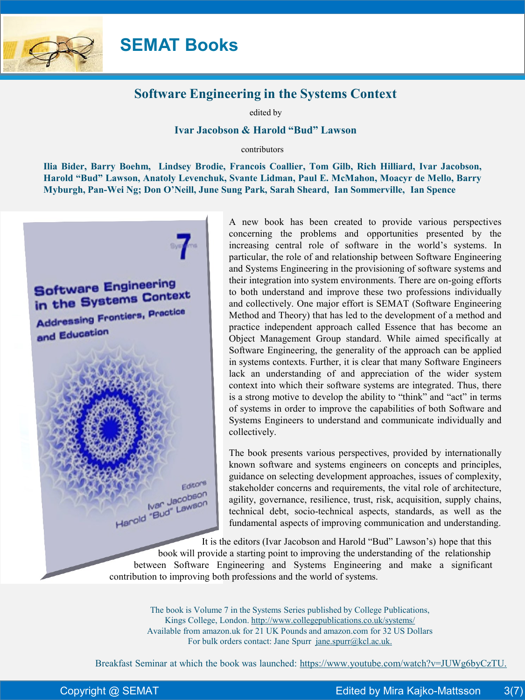

**SEMAT Books**

#### **Software Engineering in the Systems Context**

edited by

#### **Ivar Jacobson & Harold "Bud" Lawson**

contributors

**Ilia Bider, Barry Boehm, Lindsey Brodie, Francois Coallier, Tom Gilb, Rich Hilliard, Ivar Jacobson, Harold "Bud" Lawson, Anatoly Levenchuk, Svante Lidman, Paul E. McMahon, Moacyr de Mello, Barry Myburgh, Pan-Wei Ng; Don O'Neill, June Sung Park, Sarah Sheard, Ian Sommerville, Ian Spence**



A new book has been created to provide various perspectives concerning the problems and opportunities presented by the increasing central role of software in the world's systems. In particular, the role of and relationship between Software Engineering and Systems Engineering in the provisioning of software systems and their integration into system environments. There are on-going efforts to both understand and improve these two professions individually and collectively. One major effort is SEMAT (Software Engineering Method and Theory) that has led to the development of a method and practice independent approach called Essence that has become an Object Management Group standard. While aimed specifically at Software Engineering, the generality of the approach can be applied in systems contexts. Further, it is clear that many Software Engineers lack an understanding of and appreciation of the wider system context into which their software systems are integrated. Thus, there is a strong motive to develop the ability to "think" and "act" in terms of systems in order to improve the capabilities of both Software and Systems Engineers to understand and communicate individually and collectively.

The book presents various perspectives, provided by internationally known software and systems engineers on concepts and principles, guidance on selecting development approaches, issues of complexity, stakeholder concerns and requirements, the vital role of architecture, agility, governance, resilience, trust, risk, acquisition, supply chains, technical debt, socio-technical aspects, standards, as well as the fundamental aspects of improving communication and understanding.

It is the editors (Ivar Jacobson and Harold "Bud" Lawson's) hope that this

 book will provide a starting point to improving the understanding of the relationship between Software Engineering and Systems Engineering and make a significant contribution to improving both professions and the world of systems.

The book is Volume 7 in the Systems Series published by College Publications, Kings College, London. http://www.collegepublications.co.uk/systems/ Available from amazon.uk for 21 UK Pounds and amazon.com for 32 US Dollars For bulk orders contact: Jane Spurr jane.spurr@kcl.ac.uk.

Breakfast Seminar at which the book was launched: https://www.youtube.com/watch?v=JUWg6byCzTU.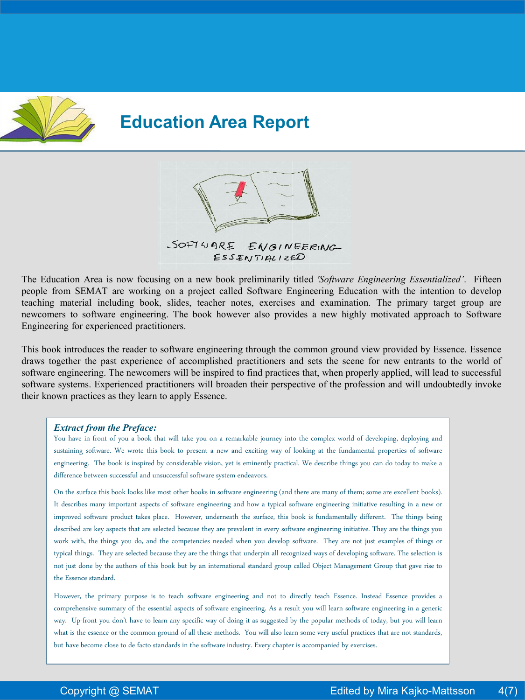

## **Education Area Report**



The Education Area is now focusing on a new book preliminarily titled *'Software Engineering Essentialized'*. Fifteen people from SEMAT are working on a project called Software Engineering Education with the intention to develop teaching material including book, slides, teacher notes, exercises and examination. The primary target group are newcomers to software engineering. The book however also provides a new highly motivated approach to Software Engineering for experienced practitioners.

This book introduces the reader to software engineering through the common ground view provided by Essence. Essence draws together the past experience of accomplished practitioners and sets the scene for new entrants to the world of software engineering. The newcomers will be inspired to find practices that, when properly applied, will lead to successful software systems. Experienced practitioners will broaden their perspective of the profession and will undoubtedly invoke their known practices as they learn to apply Essence.

#### *Extract from the Preface:*

You have in front of you a book that will take you on a remarkable journey into the complex world of developing, deploying and sustaining software. We wrote this book to present a new and exciting way of looking at the fundamental properties of software engineering. The book is inspired by considerable vision, yet is eminently practical. We describe things you can do today to make a difference between successful and unsuccessful software system endeavors.

On the surface this book looks like most other books in software engineering (and there are many of them; some are excellent books). It describes many important aspects of software engineering and how a typical software engineering initiative resulting in a new or improved software product takes place. However, underneath the surface, this book is fundamentally different. The things being described are key aspects that are selected because they are prevalent in every software engineering initiative. They are the things you work with, the things you do, and the competencies needed when you develop software. They are not just examples of things or typical things. They are selected because they are the things that underpinall recognized ways of developing software. The selection is not just done by the authors of this book but by an international standard group called Object Management Group that gave rise to the Essence standard.

However, the primary purpose is to teach software engineering and not to directly teach Essence. Instead Essence provides a comprehensive summary of the essential aspects of software engineering. As a result you will learn software engineering in a generic way. Up-front you don't have to learn any specific way of doing it as suggested by the popular methods of today, but you will learn what is the essence or the common ground of all these methods. You will also learn some very useful practices that are not standards, but have become close to de facto standards in the software industry. Every chapter is accompanied by exercises.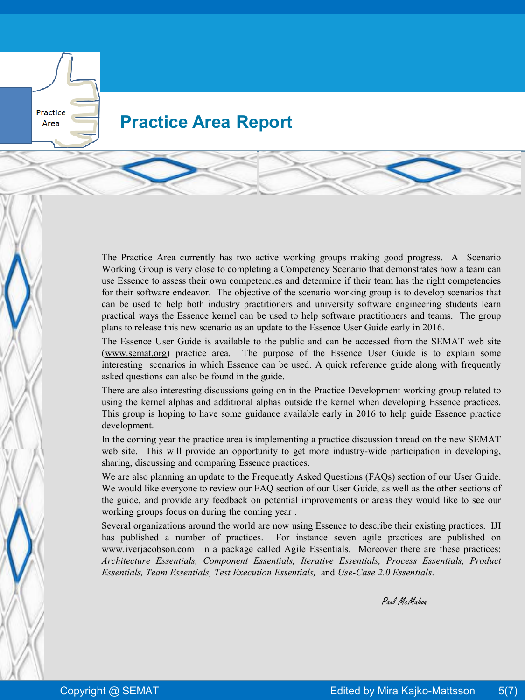## **Practice Area Report**

Practice Area

> The Practice Area currently has two active working groups making good progress. A Scenario Working Group is very close to completing a Competency Scenario that demonstrates how a team can use Essence to assess their own competencies and determine if their team has the right competencies for their software endeavor. The objective of the scenario working group is to develop scenarios that can be used to help both industry practitioners and university software engineering students learn practical ways the Essence kernel can be used to help software practitioners and teams. The group plans to release this new scenario as an update to the Essence User Guide early in 2016.

> The Essence User Guide is available to the public and can be accessed from the SEMAT web site (www.semat.org) practice area. The purpose of the Essence User Guide is to explain some interesting scenarios in which Essence can be used. A quick reference guide along with frequently asked questions can also be found in the guide.

> There are also interesting discussions going on in the Practice Development working group related to using the kernel alphas and additional alphas outside the kernel when developing Essence practices. This group is hoping to have some guidance available early in 2016 to help guide Essence practice development.

> In the coming year the practice area is implementing a practice discussion thread on the new SEMAT web site. This will provide an opportunity to get more industry-wide participation in developing, sharing, discussing and comparing Essence practices.

> We are also planning an update to the Frequently Asked Questions (FAQs) section of our User Guide. We would like everyone to review our FAQ section of our User Guide, as well as the other sections of the guide, and provide any feedback on potential improvements or areas they would like to see our working groups focus on during the coming year .

> Several organizations around the world are now using Essence to describe their existing practices. IJI has published a number of practices. For instance seven agile practices are published on www.iverjacobson.com in a package called Agile Essentials. Moreover there are these practices: *Architecture Essentials, Component Essentials, Iterative Essentials, Process Essentials, Product Essentials, Team Essentials, Test Execution Essentials,* and *Use-Case 2.0 Essentials*.

Paul McMahon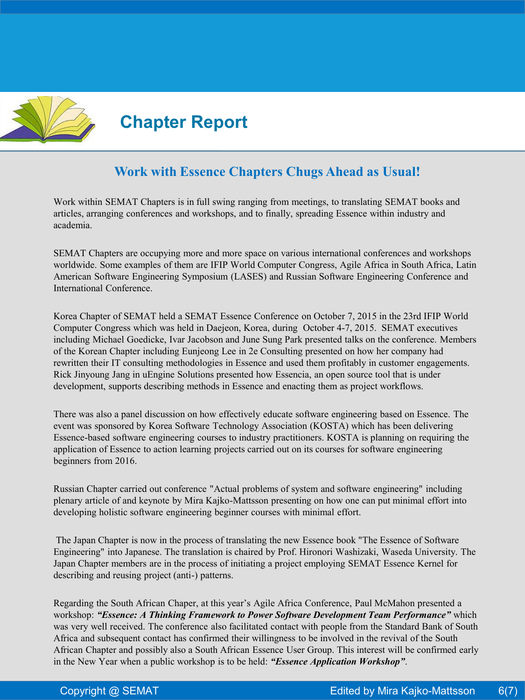

### **Work with Essence Chapters Chugs Ahead as Usual!**

Work within SEMAT Chapters is in full swing ranging from meetings, to translating SEMAT books and articles, arranging conferences and workshops, and to finally, spreading Essence within industry and academia.

SEMAT Chapters are occupying more and more space on various international conferences and workshops worldwide. Some examples of them are IFIP World Computer Congress, Agile Africa in South Africa, Latin American Software Engineering Symposium (LASES) and Russian Software Engineering Conference and International Conference.

Korea Chapter of SEMAT held a SEMAT Essence Conference on October 7, 2015 in the 23rd IFIP World Computer Congress which was held in Daejeon, Korea, during October 4-7, 2015. SEMAT executives including Michael Goedicke, Ivar Jacobson and June Sung Park presented talks on the conference. Members of the Korean Chapter including Eunjeong Lee in 2e Consulting presented on how her company had rewritten their IT consulting methodologies in Essence and used them profitably in customer engagements. Rick Jinyoung Jang in uEngine Solutions presented how Essencia, an open source tool that is under development, supports describing methods in Essence and enacting them as project workflows.

There was also a panel discussion on how effectively educate software engineering based on Essence. The event was sponsored by Korea Software Technology Association (KOSTA) which has been delivering Essence-based software engineering courses to industry practitioners. KOSTA is planning on requiring the application of Essence to action learning projects carried out on its courses for software engineering beginners from 2016.

Russian Chapter carried out conference "Actual problems of system and software engineering" including plenary article of and keynote by Mira Kajko-Mattsson presenting on how one can put minimal effort into developing holistic software engineering beginner courses with minimal effort.

The Japan Chapter is now in the process of translating the new Essence book "The Essence of Software Engineering" into Japanese. The translation is chaired by Prof. Hironori Washizaki, Waseda University. The Japan Chapter members are in the process of initiating a project employing SEMAT Essence Kernel for describing and reusing project (anti-) patterns.

Regarding the South African Chaper, at this year's Agile Africa Conference, Paul McMahon presented a workshop: *"Essence: A Thinking Framework to Power Software Development Team Performance"* which was very well received. The conference also facilitated contact with people from the Standard Bank of South Africa and subsequent contact has confirmed their willingness to be involved in the revival of the South African Chapter and possibly also a South African Essence User Group. This interest will be confirmed early in the New Year when a public workshop is to be held: *"Essence Application Workshop"*.